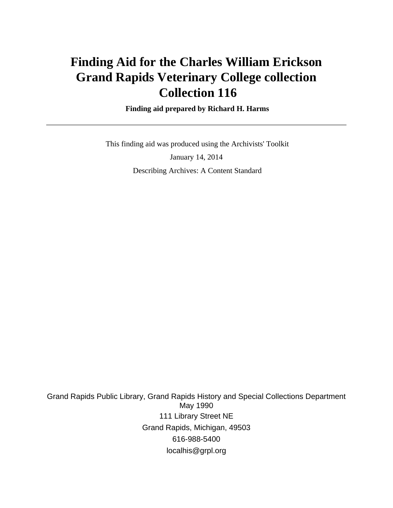# **Finding Aid for the Charles William Erickson Grand Rapids Veterinary College collection Collection 116**

### **Finding aid prepared by Richard H. Harms**

 This finding aid was produced using the Archivists' Toolkit January 14, 2014 Describing Archives: A Content Standard

Grand Rapids Public Library, Grand Rapids History and Special Collections Department May 1990 111 Library Street NE Grand Rapids, Michigan, 49503 616-988-5400 localhis@grpl.org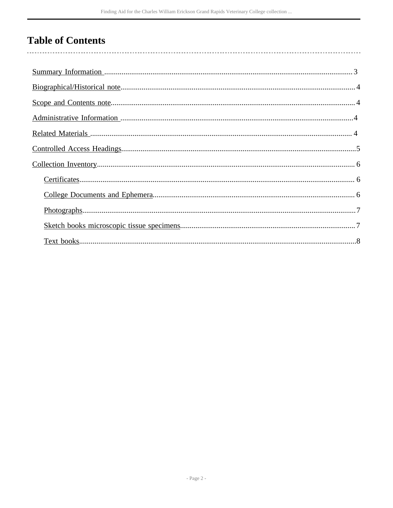# **Table of Contents**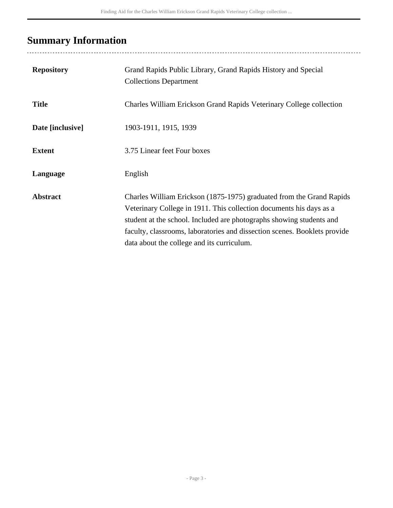# <span id="page-2-0"></span>**Summary Information**

| <b>Repository</b> | Grand Rapids Public Library, Grand Rapids History and Special<br><b>Collections Department</b>                                                                                                                                                                                                                                                 |
|-------------------|------------------------------------------------------------------------------------------------------------------------------------------------------------------------------------------------------------------------------------------------------------------------------------------------------------------------------------------------|
| <b>Title</b>      | Charles William Erickson Grand Rapids Veterinary College collection                                                                                                                                                                                                                                                                            |
| Date [inclusive]  | 1903-1911, 1915, 1939                                                                                                                                                                                                                                                                                                                          |
| <b>Extent</b>     | 3.75 Linear feet Four boxes                                                                                                                                                                                                                                                                                                                    |
| Language          | English                                                                                                                                                                                                                                                                                                                                        |
| <b>Abstract</b>   | Charles William Erickson (1875-1975) graduated from the Grand Rapids<br>Veterinary College in 1911. This collection documents his days as a<br>student at the school. Included are photographs showing students and<br>faculty, classrooms, laboratories and dissection scenes. Booklets provide<br>data about the college and its curriculum. |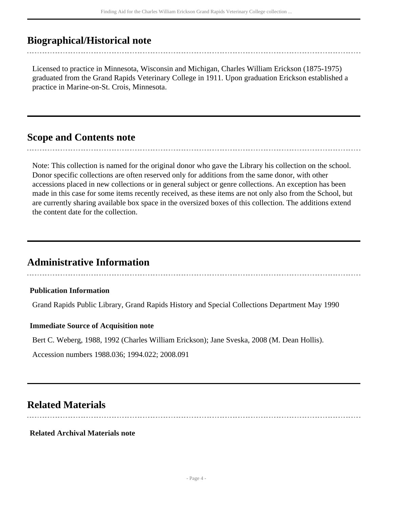## <span id="page-3-0"></span>**Biographical/Historical note**

Licensed to practice in Minnesota, Wisconsin and Michigan, Charles William Erickson (1875-1975) graduated from the Grand Rapids Veterinary College in 1911. Upon graduation Erickson established a practice in Marine-on-St. Crois, Minnesota.

## <span id="page-3-1"></span>**Scope and Contents note**

Note: This collection is named for the original donor who gave the Library his collection on the school. Donor specific collections are often reserved only for additions from the same donor, with other accessions placed in new collections or in general subject or genre collections. An exception has been made in this case for some items recently received, as these items are not only also from the School, but are currently sharing available box space in the oversized boxes of this collection. The additions extend the content date for the collection.

## <span id="page-3-2"></span>**Administrative Information**

### **Publication Information**

Grand Rapids Public Library, Grand Rapids History and Special Collections Department May 1990

### **Immediate Source of Acquisition note**

Bert C. Weberg, 1988, 1992 (Charles William Erickson); Jane Sveska, 2008 (M. Dean Hollis).

Accession numbers 1988.036; 1994.022; 2008.091

### <span id="page-3-3"></span>**Related Materials**

### **Related Archival Materials note**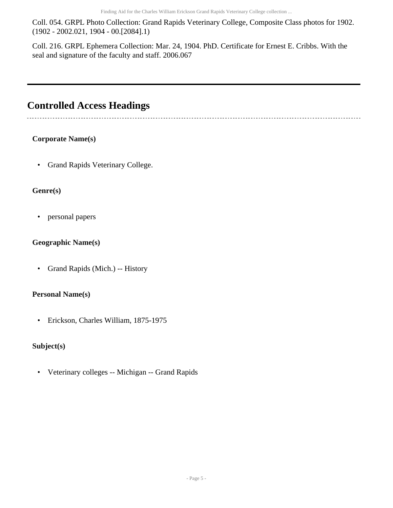Coll. 054. GRPL Photo Collection: Grand Rapids Veterinary College, Composite Class photos for 1902. (1902 - 2002.021, 1904 - 00.[2084].1)

Coll. 216. GRPL Ephemera Collection: Mar. 24, 1904. PhD. Certificate for Ernest E. Cribbs. With the seal and signature of the faculty and staff. 2006.067

## <span id="page-4-0"></span>**Controlled Access Headings**

### **Corporate Name(s)**

• Grand Rapids Veterinary College.

### **Genre(s)**

• personal papers

### **Geographic Name(s)**

• Grand Rapids (Mich.) -- History

### **Personal Name(s)**

• Erickson, Charles William, 1875-1975

### **Subject(s)**

• Veterinary colleges -- Michigan -- Grand Rapids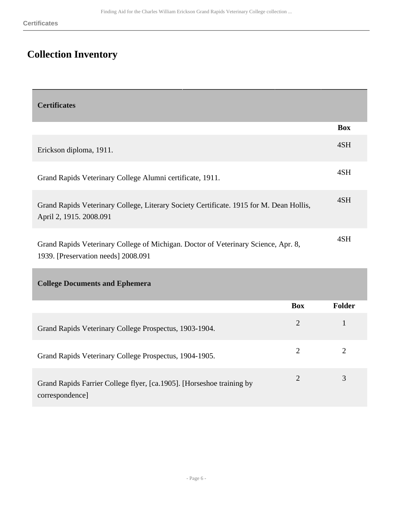# <span id="page-5-0"></span>**Collection Inventory**

<span id="page-5-1"></span>

| <b>Certificates</b>                                                                                                       |            |
|---------------------------------------------------------------------------------------------------------------------------|------------|
|                                                                                                                           | <b>Box</b> |
| Erickson diploma, 1911.                                                                                                   | 4SH        |
| Grand Rapids Veterinary College Alumni certificate, 1911.                                                                 | 4SH        |
| Grand Rapids Veterinary College, Literary Society Certificate. 1915 for M. Dean Hollis,<br>April 2, 1915. 2008.091        | 4SH        |
| Grand Rapids Veterinary College of Michigan. Doctor of Veterinary Science, Apr. 8,<br>1939. [Preservation needs] 2008.091 | 4SH        |

<span id="page-5-2"></span>**College Documents and Ephemera** 

|                                                                                          | <b>Box</b> | Folder |
|------------------------------------------------------------------------------------------|------------|--------|
| Grand Rapids Veterinary College Prospectus, 1903-1904.                                   | 2          |        |
| Grand Rapids Veterinary College Prospectus, 1904-1905.                                   |            |        |
| Grand Rapids Farrier College flyer, [ca.1905]. [Horseshoe training by<br>correspondence] |            | 3      |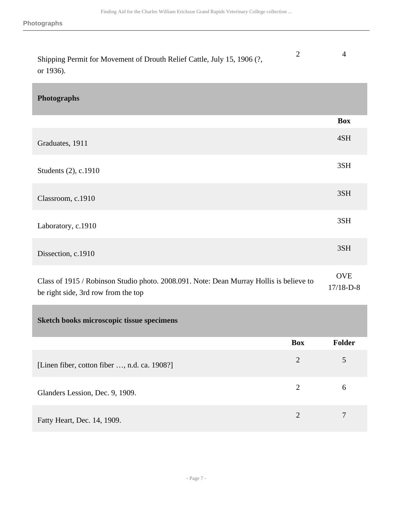<span id="page-6-1"></span><span id="page-6-0"></span>

| Shipping Permit for Movement of Drouth Relief Cattle, July 15, 1906 (?,<br>or 1936).                                           | $\overline{2}$ | $\overline{4}$            |
|--------------------------------------------------------------------------------------------------------------------------------|----------------|---------------------------|
| <b>Photographs</b>                                                                                                             |                |                           |
|                                                                                                                                |                | <b>Box</b>                |
| Graduates, 1911                                                                                                                |                | 4SH                       |
| Students (2), c.1910                                                                                                           |                | 3SH                       |
| Classroom, c.1910                                                                                                              |                | 3SH                       |
| Laboratory, c.1910                                                                                                             |                | 3SH                       |
| Dissection, c.1910                                                                                                             |                | 3SH                       |
| Class of 1915 / Robinson Studio photo. 2008.091. Note: Dean Murray Hollis is believe to<br>be right side, 3rd row from the top |                | <b>OVE</b><br>$17/18-D-8$ |
| Sketch books microscopic tissue specimens                                                                                      |                |                           |
|                                                                                                                                | <b>Box</b>     | Folder                    |
| [Linen fiber, cotton fiber , n.d. ca. 1908?]                                                                                   | $\overline{2}$ | 5                         |
| Glanders Lession, Dec. 9, 1909.                                                                                                | $\overline{2}$ | 6                         |
| Fatty Heart, Dec. 14, 1909.                                                                                                    | $\overline{2}$ | $\overline{7}$            |